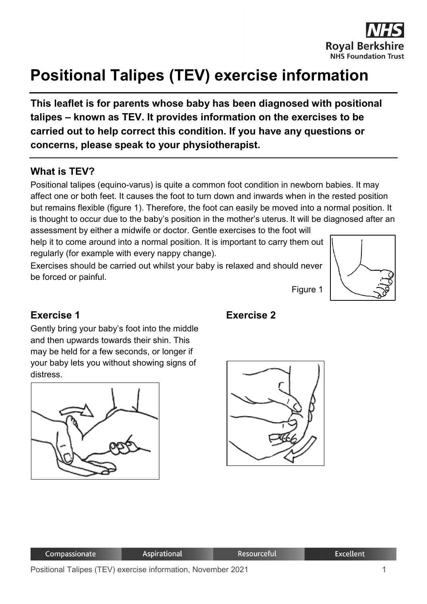

# **Positional Talipes (TEV) exercise information**

**This leaflet is for parents whose baby has been diagnosed with positional talipes – known as TEV. It provides information on the exercises to be carried out to help correct this condition. If you have any questions or concerns, please speak to your physiotherapist.**

#### **What is TEV?**

Positional talipes (equino-varus) is quite a common foot condition in newborn babies. It may affect one or both feet. It causes the foot to turn down and inwards when in the rested position but remains flexible (figure 1). Therefore, the foot can easily be moved into a normal position. It is thought to occur due to the baby's position in the mother's uterus. It will be diagnosed after an

assessment by either a midwife or doctor. Gentle exercises to the foot will help it to come around into a normal position. It is important to carry them out regularly (for example with every nappy change).

Exercises should be carried out whilst your baby is relaxed and should never be forced or painful.



#### **Exercise 1**

Gently bring your baby's foot into the middle and then upwards towards their shin. This may be held for a few seconds, or longer if your baby lets you without showing signs of distress.





**Exercise 2**

Figure 1

| Compassionate | Aspirational | <b>Resourceful</b> | <b>Excellent</b> |
|---------------|--------------|--------------------|------------------|
|               |              |                    |                  |